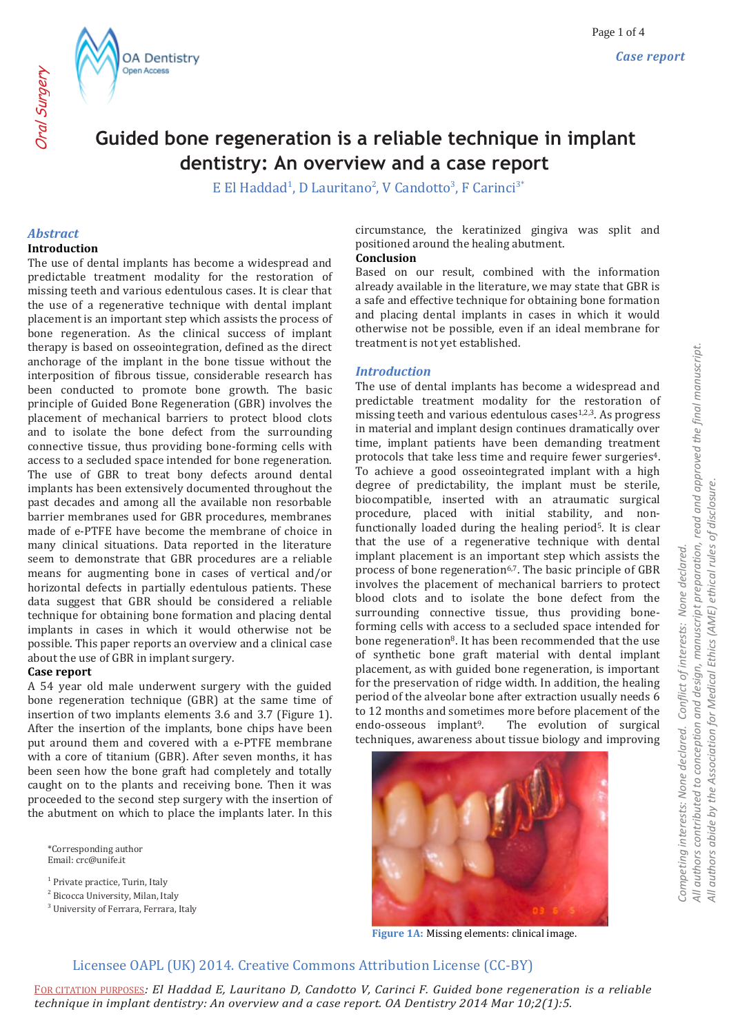



# **Guided bone regeneration is a reliable technique in implant dentistry: An overview and a case report**

E El Haddad<sup>1</sup>, D Lauritano<sup>2</sup>, V Candotto<sup>3</sup>, F Carinci<sup>3\*</sup>

#### *Abstract* **Introduction**

Oral Surgery

The use of dental implants has become a widespread and predictable treatment modality for the restoration of missing teeth and various edentulous cases. It is clear that the use of a regenerative technique with dental implant placement is an important step which assists the process of bone regeneration. As the clinical success of implant therapy is based on osseointegration, defined as the direct anchorage of the implant in the bone tissue without the interposition of fibrous tissue, considerable research has been conducted to promote bone growth. The basic principle of Guided Bone Regeneration (GBR) involves the placement of mechanical barriers to protect blood clots and to isolate the bone defect from the surrounding connective tissue, thus providing bone-forming cells with access to a secluded space intended for bone regeneration. The use of GBR to treat bony defects around dental implants has been extensively documented throughout the past decades and among all the available non resorbable barrier membranes used for GBR procedures, membranes made of e-PTFE have become the membrane of choice in many clinical situations. Data reported in the literature seem to demonstrate that GBR procedures are a reliable means for augmenting bone in cases of vertical and/or horizontal defects in partially edentulous patients. These data suggest that GBR should be considered a reliable technique for obtaining bone formation and placing dental implants in cases in which it would otherwise not be possible. This paper reports an overview and a clinical case about the use of GBR in implant surgery.

### **Case report**

A 54 year old male underwent surgery with the guided bone regeneration technique (GBR) at the same time of insertion of two implants elements 3.6 and 3.7 (Figure 1). After the insertion of the implants, bone chips have been put around them and covered with a e-PTFE membrane with a core of titanium (GBR). After seven months, it has been seen how the bone graft had completely and totally caught on to the plants and receiving bone. Then it was proceeded to the second step surgery with the insertion of the abutment on which to place the implants later. In this

\*Corresponding author Email: crc@unife.it

<sup>1</sup> Private practice, Turin, Italy

<sup>2</sup> Bicocca University, Milan, Italy

<sup>3</sup> University of Ferrara, Ferrara, Italy

circumstance, the keratinized gingiva was split and positioned around the healing abutment.

### **Conclusion**

Based on our result, combined with the information already available in the literature, we may state that GBR is a safe and effective technique for obtaining bone formation and placing dental implants in cases in which it would otherwise not be possible, even if an ideal membrane for treatment is not yet established.

### *Introduction*

The use of dental implants has become a widespread and predictable treatment modality for the restoration of missing teeth and various edentulous cases<sup>1,2,3</sup>. As progress in material and implant design continues dramatically over time, implant patients have been demanding treatment protocols that take less time and require fewer surgeries4. To achieve a good osseointegrated implant with a high degree of predictability, the implant must be sterile, biocompatible, inserted with an atraumatic surgical procedure, placed with initial stability, and nonfunctionally loaded during the healing period5. It is clear that the use of a regenerative technique with dental implant placement is an important step which assists the process of bone regeneration<sup>6,7</sup>. The basic principle of GBR involves the placement of mechanical barriers to protect blood clots and to isolate the bone defect from the surrounding connective tissue, thus providing boneforming cells with access to a secluded space intended for bone regeneration<sup>8</sup>. It has been recommended that the use of synthetic bone graft material with dental implant placement, as with guided bone regeneration, is important for the preservation of ridge width. In addition, the healing period of the alveolar bone after extraction usually needs 6 to 12 months and sometimes more before placement of the endo-osseous implant<sup>9</sup>. The evolution of surgical techniques, awareness about tissue biology and improving



**Figure 1A:** Missing elements: clinical image.

# Licensee OAPL (UK) 2014. Creative Commons Attribution License (CC-BY)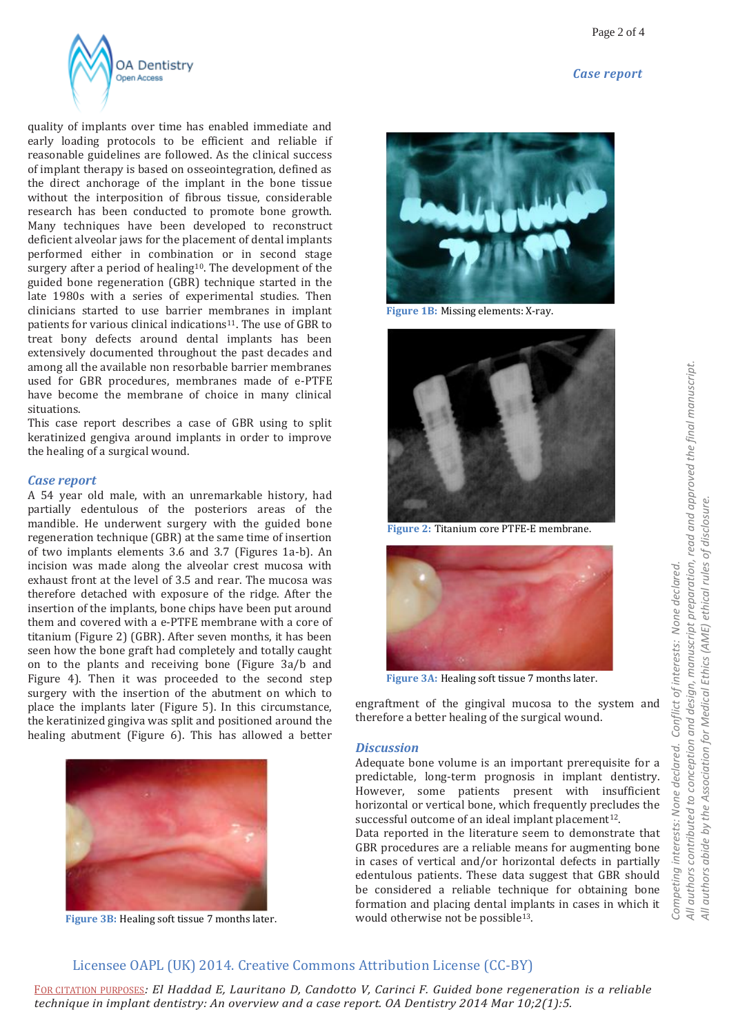



quality of implants over time has enabled immediate and early loading protocols to be efficient and reliable if reasonable guidelines are followed. As the clinical success of implant therapy is based on osseointegration, defined as the direct anchorage of the implant in the bone tissue without the interposition of fibrous tissue, considerable research has been conducted to promote bone growth. Many techniques have been developed to reconstruct deficient alveolar jaws for the placement of dental implants performed either in combination or in second stage surgery after a period of healing<sup>10</sup>. The development of the guided bone regeneration (GBR) technique started in the late 1980s with a series of experimental studies. Then clinicians started to use barrier membranes in implant patients for various clinical indications11. The use of GBR to treat bony defects around dental implants has been extensively documented throughout the past decades and among all the available non resorbable barrier membranes used for GBR procedures, membranes made of e-PTFE have become the membrane of choice in many clinical situations.

This case report describes a case of GBR using to split keratinized gengiva around implants in order to improve the healing of a surgical wound.

#### *Case report*

A 54 year old male, with an unremarkable history, had partially edentulous of the posteriors areas of the mandible. He underwent surgery with the guided bone regeneration technique (GBR) at the same time of insertion of two implants elements 3.6 and 3.7 (Figures 1a-b). An incision was made along the alveolar crest mucosa with exhaust front at the level of 3.5 and rear. The mucosa was therefore detached with exposure of the ridge. After the insertion of the implants, bone chips have been put around them and covered with a e-PTFE membrane with a core of titanium (Figure 2) (GBR). After seven months, it has been seen how the bone graft had completely and totally caught on to the plants and receiving bone (Figure 3a/b and Figure 4). Then it was proceeded to the second step surgery with the insertion of the abutment on which to place the implants later (Figure 5). In this circumstance, the keratinized gingiva was split and positioned around the healing abutment (Figure 6). This has allowed a better



**Figure 3B:** Healing soft tissue 7 months later.



**Figure 1B:** Missing elements: X-ray.



**Figure 2:** Titanium core PTFE-E membrane.



**Figure 3A:** Healing soft tissue 7 months later.

engraftment of the gingival mucosa to the system and therefore a better healing of the surgical wound.

#### *Discussion*

Adequate bone volume is an important prerequisite for a predictable, long-term prognosis in implant dentistry. However, some patients present with insufficient horizontal or vertical bone, which frequently precludes the successful outcome of an ideal implant placement<sup>12</sup>.

Data reported in the literature seem to demonstrate that GBR procedures are a reliable means for augmenting bone in cases of vertical and/or horizontal defects in partially edentulous patients. These data suggest that GBR should be considered a reliable technique for obtaining bone formation and placing dental implants in cases in which it would otherwise not be possible<sup>13</sup>.

# Licensee OAPL (UK) 2014. Creative Commons Attribution License (CC-BY)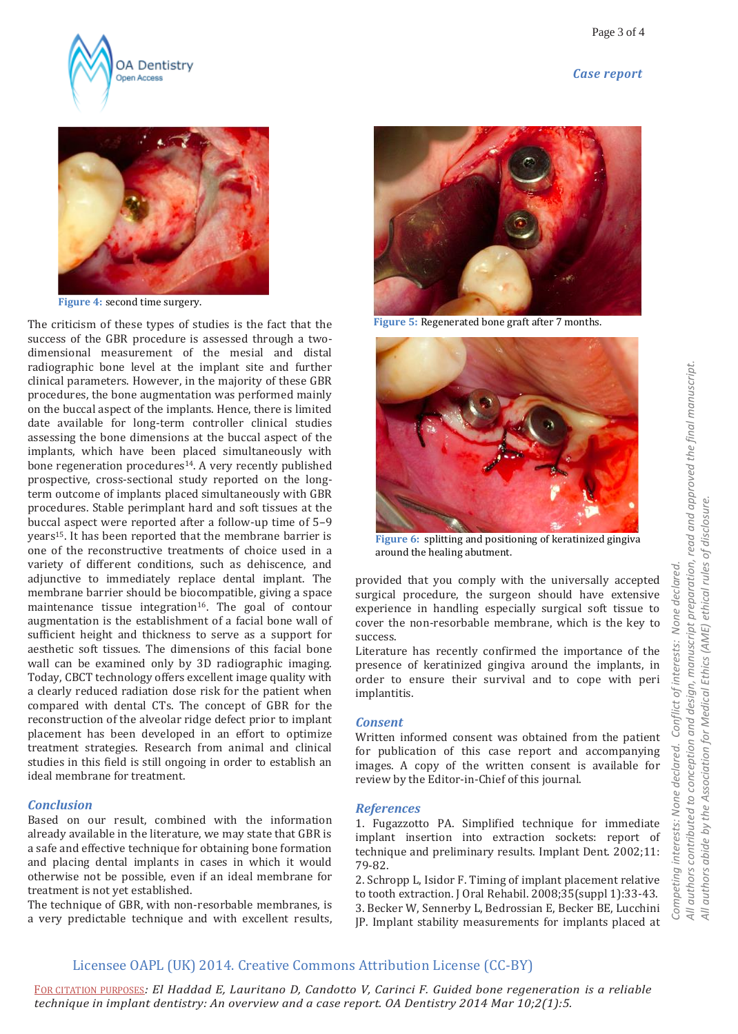





**Figure 4:** second time surgery.

The criticism of these types of studies is the fact that the success of the GBR procedure is assessed through a twodimensional measurement of the mesial and distal radiographic bone level at the implant site and further clinical parameters. However, in the majority of these GBR procedures, the bone augmentation was performed mainly on the buccal aspect of the implants. Hence, there is limited date available for long-term controller clinical studies assessing the bone dimensions at the buccal aspect of the implants, which have been placed simultaneously with bone regeneration procedures <sup>14</sup>. A very recently published prospective, cross-sectional study reported on the longterm outcome of implants placed simultaneously with GBR procedures. Stable perimplant hard and soft tissues at the buccal aspect were reported after a follow-up time of 5–9 years<sup>15</sup>. It has been reported that the membrane barrier is one of the reconstructive treatments of choice used in a variety of different conditions, such as dehiscence, and adjunctive to immediately replace dental implant. The membrane barrier should be biocompatible, giving a space maintenance tissue integration<sup>16</sup>. The goal of contour augmentation is the establishment of a facial bone wall of sufficient height and thickness to serve as a support for aesthetic soft tissues. The dimensions of this facial bone wall can be examined only by 3D radiographic imaging. Today, CBCT technology offers excellent image quality with a clearly reduced radiation dose risk for the patient when compared with dental CTs. The concept of GBR for the reconstruction of the alveolar ridge defect prior to implant placement has been developed in an effort to optimize treatment strategies. Research from animal and clinical studies in this field is still ongoing in order to establish an ideal membrane for treatment.

#### *Conclusion*

Based on our result, combined with the information already available in the literature, we may state that GBR is a safe and effective technique for obtaining bone formation and placing dental implants in cases in which it would otherwise not be possible, even if an ideal membrane for treatment is not yet established.

The technique of GBR, with non-resorbable membranes, is a very predictable technique and with excellent results,



**Figure 5:** Regenerated bone graft after 7 months.



**Figure 6:** splitting and positioning of keratinized gingiva around the healing abutment.

provided that you comply with the universally accepted surgical procedure, the surgeon should have extensive experience in handling especially surgical soft tissue to cover the non-resorbable membrane, which is the key to success.

Literature has recently confirmed the importance of the presence of keratinized gingiva around the implants, in order to ensure their survival and to cope with peri implantitis.

#### *Consent*

Written informed consent was obtained from the patient for publication of this case report and accompanying images. A copy of the written consent is available for review by the Editor-in-Chief of this journal.

#### *References*

1. Fugazzotto PA. Simplified technique for immediate implant insertion into extraction sockets: report of technique and preliminary results. Implant Dent. 2002;11: 79-82.

2. Schropp L, Isidor F. Timing of implant placement relative to tooth extraction. J Oral Rehabil. 2008;35(suppl 1):33-43. 3. Becker W, Sennerby L, Bedrossian E, Becker BE, Lucchini JP. Implant stability measurements for implants placed at

# Licensee OAPL (UK) 2014. Creative Commons Attribution License (CC-BY)